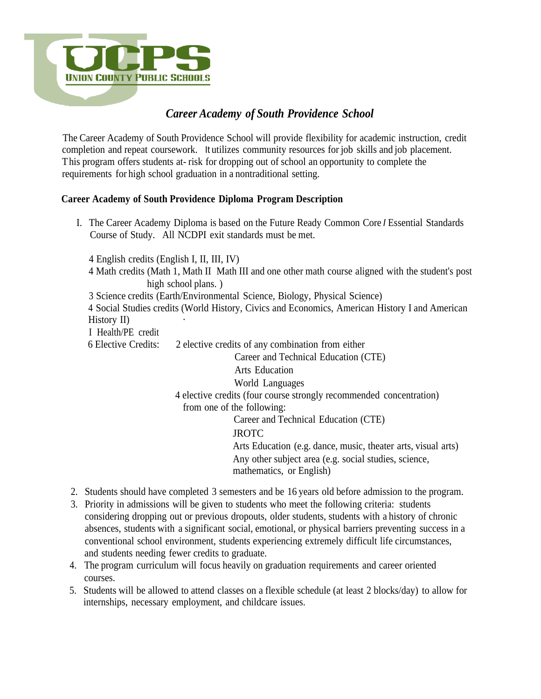

# *Career Academy of South Providence School*

The Career Academy of South Providence School will provide flexibility for academic instruction, credit completion and repeat coursework. It utilizes community resources for job skills and job placement. This program offers students at- risk for dropping out of school an opportunity to complete the requirements for high school graduation in a nontraditional setting.

#### **Career Academy of South Providence Diploma Program Description**

I. The Career Academy Diploma is based on the Future Ready Common Core *I* Essential Standards Course of Study. All NCDPI exit standards must be met.

4 English credits (English I, II, III, IV)

- 4 Math credits (Math 1, Math II Math III and one other math course aligned with the student's post high school plans.)
- 3 Science credits (Earth/Environmental Science, Biology, Physical Science)
- 4 Social Studies credits (World History, Civics and Economics, American History I and American History II)
- I Health/PE credit
- 6 Elective Credits: 2 elective credits of any combination from either

Career and Technical Education (CTE)

Arts Education

#### World Languages

4 elective credits (four course strongly recommended concentration) from one of the following:

Career and Technical Education (CTE)

## **JROTC**

Arts Education (e.g. dance, music, theater arts, visual arts) Any other subject area (e.g. social studies, science, mathematics, or English)

- 2. Students should have completed 3 semesters and be 16 years old before admission to the program.
- 3. Priority in admissions will be given to students who meet the following criteria: students considering dropping out or previous dropouts, older students, students with a history of chronic absences, students with a significant social, emotional, or physical barriers preventing success in a conventional school environment, students experiencing extremely difficult life circumstances, and students needing fewer credits to graduate.
- 4. The program curriculum will focus heavily on graduation requirements and career oriented courses.
- 5. Students will be allowed to attend classes on a flexible schedule (at least 2 blocks/day) to allow for internships, necessary employment, and childcare issues.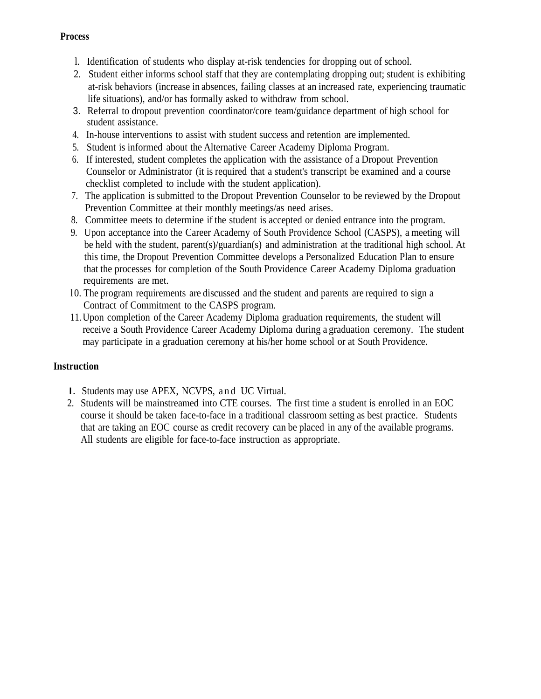#### **Process**

- l. Identification of students who display at-risk tendencies for dropping out of school.
- 2. Student either informs school staff that they are contemplating dropping out; student is exhibiting at-risk behaviors (increase in absences, failing classes at an increased rate, experiencing traumatic life situations), and/or has formally asked to withdraw from school.
- 3. Referral to dropout prevention coordinator/core team/guidance department of high school for student assistance.
- 4. In-house interventions to assist with student success and retention are implemented.
- 5. Student is informed about the Alternative Career Academy Diploma Program.
- 6. If interested, student completes the application with the assistance of a Dropout Prevention Counselor or Administrator (it is required that a student's transcript be examined and a course checklist completed to include with the student application).
- 7. The application is submitted to the Dropout Prevention Counselor to be reviewed by the Dropout Prevention Committee at their monthly meetings/as need arises.
- 8. Committee meets to determine if the student is accepted or denied entrance into the program.
- 9. Upon acceptance into the Career Academy of South Providence School (CASPS), a meeting will be held with the student, parent(s)/guardian(s) and administration at the traditional high school. At this time, the Dropout Prevention Committee develops a Personalized Education Plan to ensure that the processes for completion of the South Providence Career Academy Diploma graduation requirements are met.
- l0. The program requirements are discussed and the student and parents are required to sign a Contract of Commitment to the CASPS program.
- 11.Upon completion of the Career Academy Diploma graduation requirements, the student will receive a South Providence Career Academy Diploma during a graduation ceremony. The student may participate in a graduation ceremony at his/her home school or at South Providence.

## **Instruction**

- I. Students may use APEX, NCVPS, and UC Virtual.
- 2. Students will be mainstreamed into CTE courses. The first time a student is enrolled in an EOC course it should be taken face-to-face in a traditional classroom setting as best practice. Students that are taking an EOC course as credit recovery can be placed in any of the available programs. All students are eligible for face-to-face instruction as appropriate.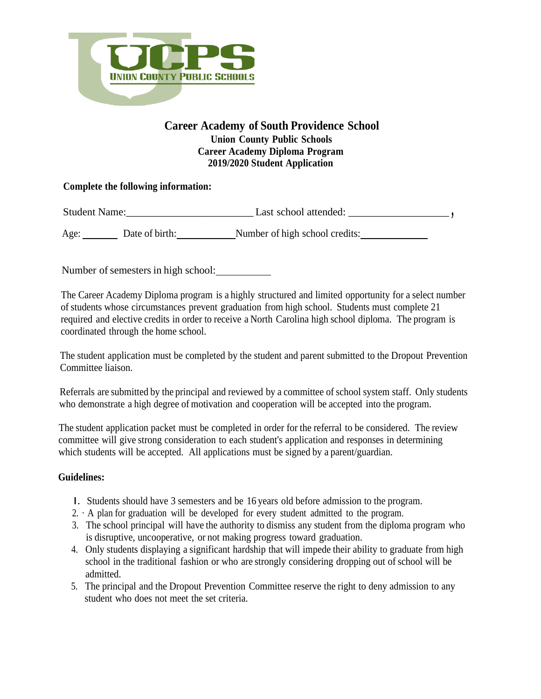

## **Career Academy of South Providence School Union County Public Schools Career Academy Diploma Program 2019/2020 Student Application**

## **Complete the following information:**

Student Name:\_\_\_\_\_\_\_\_\_\_\_\_\_\_\_\_\_\_\_\_\_\_\_\_ Last school attended: \_\_\_\_\_\_\_\_\_\_\_\_\_\_\_\_\_\_\_ **,**

Age: Date of birth: Number of high school credits:

Number of semesters in high school:

The Career Academy Diploma program is a highly structured and limited opportunity for a select number of students whose circumstances prevent graduation from high school. Students must complete 21 required and elective credits in order to receive a North Carolina high school diploma. The program is coordinated through the home school.

The student application must be completed by the student and parent submitted to the Dropout Prevention Committee liaison.

Referrals are submitted by the principal and reviewed by a committee of school system staff. Only students who demonstrate a high degree of motivation and cooperation will be accepted into the program.

The student application packet must be completed in order for the referral to be considered. The review committee will give strong consideration to each student's application and responses in determining which students will be accepted. All applications must be signed by a parent/guardian.

## **Guidelines:**

- I. Students should have 3 semesters and be 16 years old before admission to the program.
- 2. · A plan for graduation will be developed for every student admitted to the program.
- 3. The school principal will have the authority to dismiss any student from the diploma program who is disruptive, uncooperative, or not making progress toward graduation.
- 4. Only students displaying a significant hardship that will impede their ability to graduate from high school in the traditional fashion or who are strongly considering dropping out of school will be admitted.
- 5. The principal and the Dropout Prevention Committee reserve the right to deny admission to any student who does not meet the set criteria.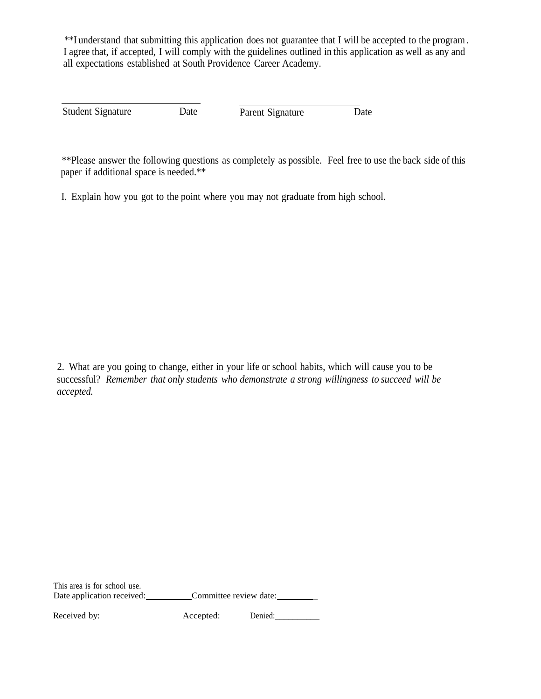\*\*I understand that submitting this application does not guarantee that I will be accepted to the program. I agree that, if accepted, I will comply with the guidelines outlined in this application as well as any and all expectations established at South Providence Career Academy.

Student Signature Date Parent Signature Date

\*\*Please answer the following questions as completely as possible. Feel free to use the back side of this paper if additional space is needed.\*\*

I. Explain how you got to the point where you may not graduate from high school.

2. What are you going to change, either in your life or school habits, which will cause you to be successful? *Remember that only students who demonstrate a strong willingness to succeed will be accepted.*

This area is for school use. Date application received: Committee review date:

Received by: Accepted: Denied:\_\_\_\_\_\_\_\_\_\_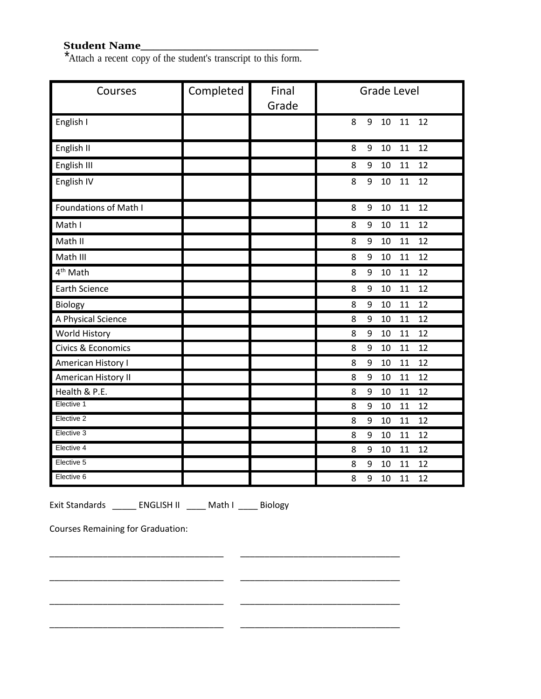## **Student Name\_\_\_\_\_\_\_\_\_\_\_\_\_\_\_\_\_\_\_\_\_\_\_\_\_\_\_\_**

\*Attach a recent copy of the student's transcript to this form.

| Courses                      | Completed | Final<br>Grade | <b>Grade Level</b>           |
|------------------------------|-----------|----------------|------------------------------|
| English I                    |           |                | 9<br>11<br>12<br>8<br>10     |
| English II                   |           |                | 12<br>8<br>9<br>10<br>11     |
| English III                  |           |                | 11<br>12<br>8<br>9<br>$10\,$ |
| English IV                   |           |                | 8<br>9<br>10<br>11<br>12     |
| <b>Foundations of Math I</b> |           |                | 12<br>11<br>8<br>9<br>$10\,$ |
| Math I                       |           |                | 12<br>10<br>11<br>8<br>9     |
| Math II                      |           |                | 11<br>12<br>9<br>10<br>8     |
| Math III                     |           |                | 12<br>10<br>11<br>8<br>9     |
| 4 <sup>th</sup> Math         |           |                | 8<br>10<br>11<br>12<br>9     |
| <b>Earth Science</b>         |           |                | 12<br>8<br>9<br>10<br>11     |
| Biology                      |           |                | 8<br>9<br>11<br>12<br>10     |
| A Physical Science           |           |                | 12<br>8<br>9<br>10<br>11     |
| World History                |           |                | 12<br>8<br>9<br>10<br>11     |
| Civics & Economics           |           |                | 12<br>8<br>11<br>9<br>10     |
| American History I           |           |                | 11<br>12<br>8<br>9<br>10     |
| American History II          |           |                | 12<br>8<br>9<br>10<br>11     |
| Health & P.E.                |           |                | 12<br>9<br>11<br>8<br>10     |
| Elective 1                   |           |                | 12<br>8<br>9<br>10<br>11     |
| Elective 2                   |           |                | 11<br>12<br>8<br>9<br>10     |
| Elective 3                   |           |                | 11<br>12<br>8<br>9<br>10     |
| Elective 4                   |           |                | 9<br>12<br>8<br>10<br>11     |
| Elective 5                   |           |                | 12<br>9<br>11<br>8<br>10     |
| Elective 6                   |           |                | 8<br>9<br>10<br>11<br>12     |

\_\_\_\_\_\_\_\_\_\_\_\_\_\_\_\_\_\_\_\_\_\_\_\_\_\_\_\_\_\_\_\_\_\_\_\_ \_\_\_\_\_\_\_\_\_\_\_\_\_\_\_\_\_\_\_\_\_\_\_\_\_\_\_\_\_\_\_\_\_

\_\_\_\_\_\_\_\_\_\_\_\_\_\_\_\_\_\_\_\_\_\_\_\_\_\_\_\_\_\_\_\_\_\_\_\_ \_\_\_\_\_\_\_\_\_\_\_\_\_\_\_\_\_\_\_\_\_\_\_\_\_\_\_\_\_\_\_\_\_

\_\_\_\_\_\_\_\_\_\_\_\_\_\_\_\_\_\_\_\_\_\_\_\_\_\_\_\_\_\_\_\_\_\_\_\_ \_\_\_\_\_\_\_\_\_\_\_\_\_\_\_\_\_\_\_\_\_\_\_\_\_\_\_\_\_\_\_\_\_

\_\_\_\_\_\_\_\_\_\_\_\_\_\_\_\_\_\_\_\_\_\_\_\_\_\_\_\_\_\_\_\_\_\_\_\_ \_\_\_\_\_\_\_\_\_\_\_\_\_\_\_\_\_\_\_\_\_\_\_\_\_\_\_\_\_\_\_\_\_

Exit Standards \_\_\_\_\_\_ ENGLISH II \_\_\_\_ Math I \_\_\_\_ Biology

Courses Remaining for Graduation: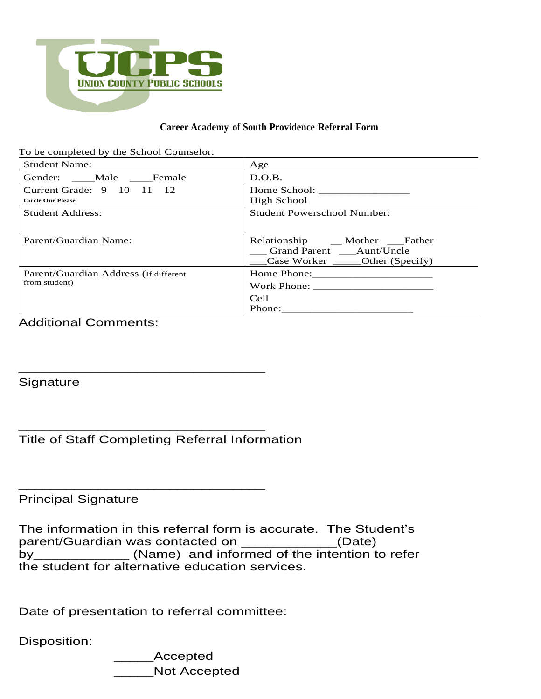

#### **Career Academy of South Providence Referral Form**

| To be completed by the School Counselor.                                  |                                                                                                       |  |
|---------------------------------------------------------------------------|-------------------------------------------------------------------------------------------------------|--|
| <b>Student Name:</b>                                                      | Age                                                                                                   |  |
| Gender: Male Female                                                       | D.O.B.                                                                                                |  |
| Current Grade: $9 \quad 10 \quad 11 \quad 12$<br><b>Circle One Please</b> | High School                                                                                           |  |
| <b>Student Address:</b>                                                   | <b>Student Powerschool Number:</b>                                                                    |  |
| Parent/Guardian Name:                                                     | Relationship __ Mother __ Father<br>Grand Parent ____Aunt/Uncle<br>Case Worker _______Other (Specify) |  |
| Parent/Guardian Address (If different<br>from student)                    | Cell<br>Phone:                                                                                        |  |

## Additional Comments:

**Signature** 

Title of Staff Completing Referral Information

\_\_\_\_\_\_\_\_\_\_\_\_\_\_\_\_\_\_\_\_\_\_\_\_\_\_\_\_\_\_\_

\_\_\_\_\_\_\_\_\_\_\_\_\_\_\_\_\_\_\_\_\_\_\_\_\_\_\_\_\_\_\_

\_\_\_\_\_\_\_\_\_\_\_\_\_\_\_\_\_\_\_\_\_\_\_\_\_\_\_\_\_\_\_

Principal Signature

The information in this referral form is accurate. The Student's parent/Guardian was contacted on \_\_\_\_\_\_\_\_\_\_\_\_(Date) by\_\_\_\_\_\_\_\_\_\_\_\_\_\_ (Name) and informed of the intention to refer the student for alternative education services.

Date of presentation to referral committee:

Disposition:

\_\_\_\_\_Accepted \_\_\_\_\_Not Accepted